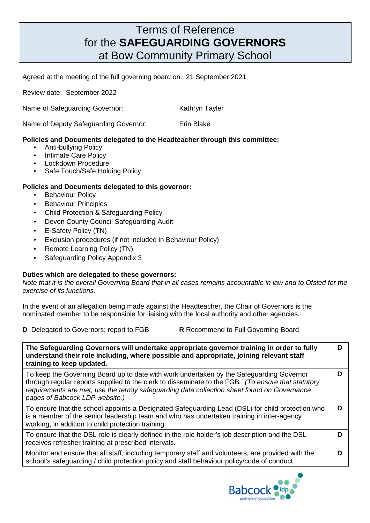## Terms of Reference for the **SAFEGUARDING GOVERNORS** at Bow Community Primary School

Agreed at the meeting of the full governing board on:21 September 2021

Review date: September 2022

Name of Safeguarding Governor: Kathryn Tayler

Name of Deputy Safeguarding Governor: Erin Blake

## **Policies and Documents delegated to the Headteacher through this committee:**

- Anti-bullying Policy
- Intimate Care Policy
- Lockdown Procedure
- Safe Touch/Safe Holding Policy

## **Policies and Documents delegated to this governor:**

- **Behaviour Policy**
- Behaviour Principles
- Child Protection & Safeguarding Policy
- Devon County Council Safeguarding Audit
- E-Safety Policy (TN)
- Exclusion procedures (if not included in Behaviour Policy)
- Remote Learning Policy (TN)
- Safeguarding Policy Appendix 3

## **Duties which are delegated to these governors:**

Note that it is the overall Governing Board that in all cases remains accountable in law and to Ofsted for the exercise of its functions.

In the event of an allegation being made against the Headteacher, the Chair of Governors is the nominated member to be responsible for liaising with the local authority and other agencies.

**D** Delegated to Governors; report to FGB **R** Recommend to Full Governing Board

| The Safeguarding Governors will undertake appropriate governor training in order to fully<br>understand their role including, where possible and appropriate, joining relevant staff<br>training to keep updated.                                                                                                               |   |
|---------------------------------------------------------------------------------------------------------------------------------------------------------------------------------------------------------------------------------------------------------------------------------------------------------------------------------|---|
| To keep the Governing Board up to date with work undertaken by the Safeguarding Governor<br>through regular reports supplied to the clerk to disseminate to the FGB. (To ensure that statutory<br>requirements are met, use the termly safeguarding data collection sheet found on Governance<br>pages of Babcock LDP website.) | D |
| To ensure that the school appoints a Designated Safeguarding Lead (DSL) for child protection who<br>is a member of the senior leadership team and who has undertaken training in inter-agency<br>working, in addition to child protection training.                                                                             | D |
| To ensure that the DSL role is clearly defined in the role holder's job description and the DSL<br>receives refresher training at prescribed intervals.                                                                                                                                                                         | D |
| Monitor and ensure that all staff, including temporary staff and volunteers, are provided with the<br>school's safeguarding / child protection policy and staff behaviour policy/code of conduct.                                                                                                                               | D |